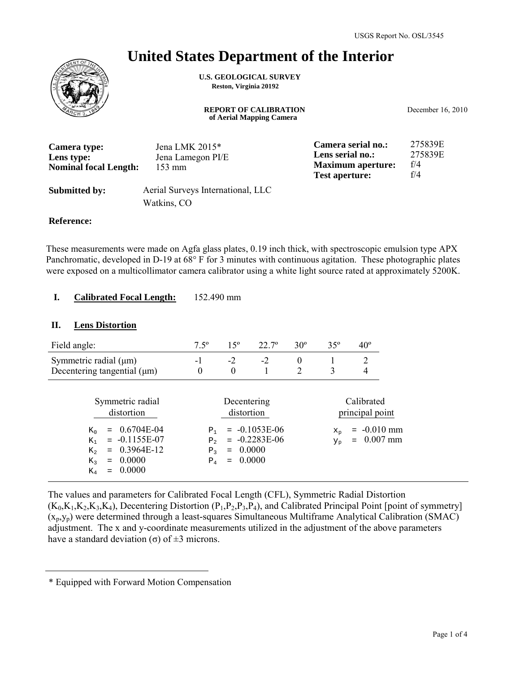## **United States Department of the Interior**

**U.S. GEOLOGICAL SURVEY Reston, Virginia 20192**

> **REPORT OF CALIBRATION of Aerial Mapping Camera**

December 16, 2010

| Camera type:                 | Jena LMK $2015*$                  | Camera serial no.:                                | 275839E    |
|------------------------------|-----------------------------------|---------------------------------------------------|------------|
| Lens type:                   | Jena Lamegon PI/E                 | Lens serial no.:                                  | 275839E    |
| <b>Nominal focal Length:</b> | $153 \text{ mm}$                  | <b>Maximum aperture:</b><br><b>Test aperture:</b> | f/4<br>f/4 |
| <b>Submitted by:</b>         | Aerial Surveys International, LLC |                                                   |            |

#### **Reference:**

These measurements were made on Agfa glass plates, 0.19 inch thick, with spectroscopic emulsion type APX Panchromatic, developed in D-19 at 68° F for 3 minutes with continuous agitation. These photographic plates were exposed on a multicollimator camera calibrator using a white light source rated at approximately 5200K.

#### **Calibrated Focal Length:** 152.490 mm **I.**

Watkins, CO

#### **II. Lens Distortion**

| Field angle:                                                                                                                                               | $7.5^{\circ}$                                                 | $15^{\circ}$     | $22.7^{\circ}$                                                                      | $30^\circ$                 | $35^\circ$             | $40^{\circ}$                                                        |
|------------------------------------------------------------------------------------------------------------------------------------------------------------|---------------------------------------------------------------|------------------|-------------------------------------------------------------------------------------|----------------------------|------------------------|---------------------------------------------------------------------|
| Symmetric radial $(\mu m)$<br>Decentering tangential $(\mu m)$                                                                                             | $-1$<br>$\theta$                                              | $-2$<br>$\theta$ | $-2$                                                                                | $\theta$<br>$\overline{2}$ | 3                      | 2<br>4                                                              |
| Symmetric radial<br>distortion<br>0.6704E-04<br>$K_{0}$<br>$= -0.1155E-07$<br>$K_{1}$<br>0.3964E-12<br>$K_{2}$<br>0.0000<br>$K_{2}$<br>$=$<br>0.0000<br>Κ4 | P <sub>1</sub><br>P <sub>2</sub><br>P <sub>2</sub><br>$P_{4}$ |                  | Decentering<br>distortion<br>$= -0.1053E-06$<br>$= -0.2283E-06$<br>0.0000<br>0.0000 |                            | $X_{n}$<br>$Y_{\rm p}$ | Calibrated<br>principal point<br>$= -0.010$ mm<br>$0.007$ mm<br>$=$ |

The values and parameters for Calibrated Focal Length (CFL), Symmetric Radial Distortion  $(K_0,K_1,K_2,K_3,K_4)$ , Decentering Distortion  $(P_1,P_2,P_3,P_4)$ , and Calibrated Principal Point [point of symmetry]  $(x_p, y_p)$  were determined through a least-squares Simultaneous Multiframe Analytical Calibration (SMAC) adjustment. The x and y-coordinate measurements utilized in the adjustment of the above parameters have a standard deviation (σ) of  $\pm$ 3 microns.

<sup>\*</sup> Equipped with Forward Motion Compensation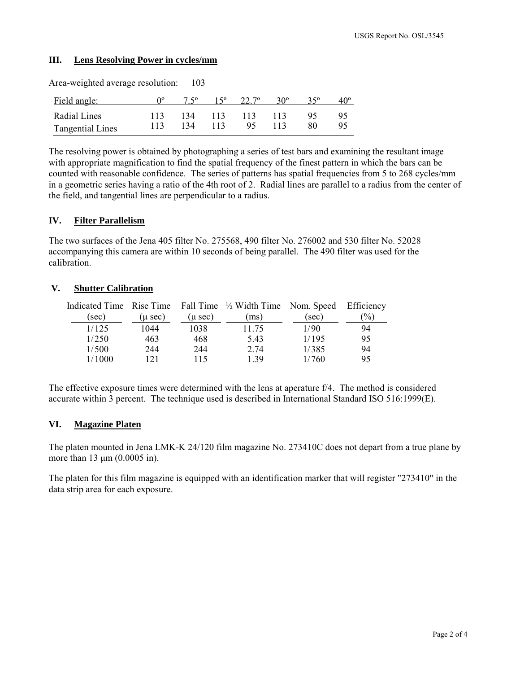### **III. Lens Resolving Power in cycles/mm**

| Area-weighted average resolution: |     | 103           |     |                    |     |              |              |
|-----------------------------------|-----|---------------|-----|--------------------|-----|--------------|--------------|
| Field angle:                      |     | $7.5^{\circ}$ |     | $15^{\circ}$ 22.7° | 30° | $35^{\circ}$ | $40^{\circ}$ |
| Radial Lines                      | 113 | 134           | 113 | 113                | 113 | 95           | 95           |
| <b>Tangential Lines</b>           | 113 | 134           | 113 | 95                 |     | 80           | 95           |

The resolving power is obtained by photographing a series of test bars and examining the resultant image with appropriate magnification to find the spatial frequency of the finest pattern in which the bars can be counted with reasonable confidence. The series of patterns has spatial frequencies from 5 to 268 cycles/mm in a geometric series having a ratio of the 4th root of 2. Radial lines are parallel to a radius from the center of the field, and tangential lines are perpendicular to a radius.

### **IV. Filter Parallelism**

The two surfaces of the Jena 405 filter No. 275568, 490 filter No. 276002 and 530 filter No. 52028 accompanying this camera are within 10 seconds of being parallel. The 490 filter was used for the calibration.

### **V. Shutter Calibration**

|        |         |              | Indicated Time Rise Time Fall Time $\frac{1}{2}$ Width Time Nom. Speed Efficiency |       |               |
|--------|---------|--------------|-----------------------------------------------------------------------------------|-------|---------------|
| (sec)  | (u sec) | $(\mu \sec)$ | ms)                                                                               | (sec) | $\frac{1}{2}$ |
| 1/125  | 1044    | 1038         | 11.75                                                                             | 1/90  | 94            |
| 1/250  | 463     | 468          | 5.43                                                                              | 1/195 | 95            |
| 1/500  | 244     | 244          | 2.74                                                                              | 1/385 | 94            |
| 1/1000 | 121     | 115          | 139                                                                               | 1/760 | 95            |

The effective exposure times were determined with the lens at aperature f/4. The method is considered accurate within 3 percent. The technique used is described in International Standard ISO 516:1999(E).

#### **VI. Magazine Platen**

The platen mounted in Jena LMK-K 24/120 film magazine No. 273410C does not depart from a true plane by more than 13 μm (0.0005 in).

The platen for this film magazine is equipped with an identification marker that will register "273410" in the data strip area for each exposure.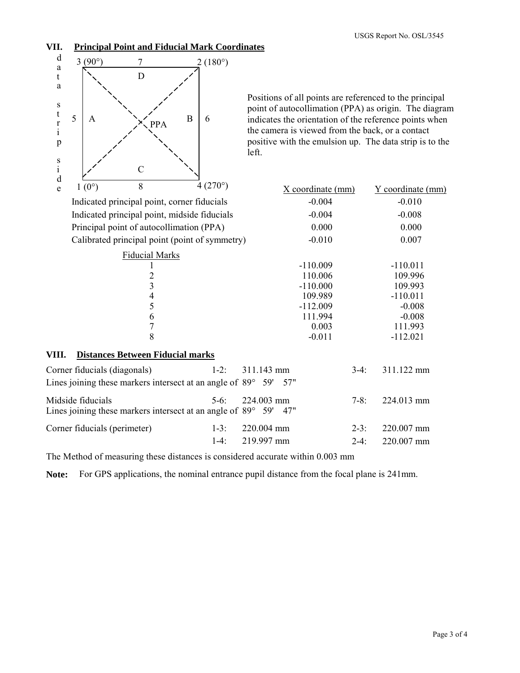## **VII. Principal Point and Fiducial Mark Coordinates**



Positions of all points are referenced to the principal point of autocollimation (PPA) as origin. The diagram indicates the orientation of the reference points when the camera is viewed from the back, or a contact positive with the emulsion up. The data strip is to the left.

| e     | $1(0^{\circ})$               | 8                                       | $4(270^{\circ})$                                                                 | X coordinate (mm) |        | Y coordinate (mm) |  |
|-------|------------------------------|-----------------------------------------|----------------------------------------------------------------------------------|-------------------|--------|-------------------|--|
|       |                              |                                         | Indicated principal point, corner fiducials                                      | $-0.004$          |        | $-0.010$          |  |
|       |                              |                                         | Indicated principal point, midside fiducials                                     | $-0.004$          |        | $-0.008$          |  |
|       |                              |                                         | Principal point of autocollimation (PPA)                                         | 0.000             |        | 0.000             |  |
|       |                              |                                         | Calibrated principal point (point of symmetry)                                   | $-0.010$          | 0.007  |                   |  |
|       |                              | <b>Fiducial Marks</b>                   |                                                                                  |                   |        |                   |  |
|       |                              |                                         |                                                                                  | $-110.009$        |        | $-110.011$        |  |
|       |                              | $\overline{c}$                          |                                                                                  | 110.006           |        | 109.996           |  |
|       |                              | $\overline{\mathbf{3}}$                 |                                                                                  | $-110.000$        |        | 109.993           |  |
|       |                              | 4                                       |                                                                                  | 109.989           |        | $-110.011$        |  |
|       |                              | 5                                       |                                                                                  | $-112.009$        |        | $-0.008$          |  |
|       |                              | 6                                       |                                                                                  | 111.994           |        | $-0.008$          |  |
|       |                              | $\overline{7}$                          |                                                                                  | 0.003             |        | 111.993           |  |
|       |                              | 8                                       |                                                                                  | $-0.011$          |        | $-112.021$        |  |
| VIII. |                              | <b>Distances Between Fiducial marks</b> |                                                                                  |                   |        |                   |  |
|       | Corner fiducials (diagonals) |                                         | $1-2$ :                                                                          | 311.143 mm        | $3-4:$ | 311.122 mm        |  |
|       |                              |                                         | Lines joining these markers intersect at an angle of $89^{\circ}$ 59'            | 57"               |        |                   |  |
|       | Midside fiducials            |                                         | $5-6$ :<br>Lines joining these markers intersect at an angle of $89^{\circ}$ 59' | 224.003 mm<br>47" | $7-8:$ | 224.013 mm        |  |
|       | Corner fiducials (perimeter) |                                         | $1-3:$                                                                           | 220.004 mm        | $2-3:$ | 220.007 mm        |  |
|       |                              |                                         | $1-4:$                                                                           | 219.997 mm        | $2-4:$ | 220.007 mm        |  |

The Method of measuring these distances is considered accurate within 0.003 mm

**Note:** For GPS applications, the nominal entrance pupil distance from the focal plane is 241mm.